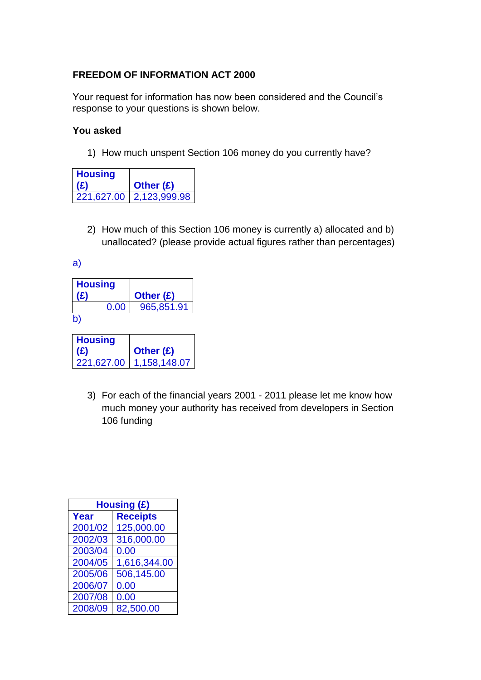## **FREEDOM OF INFORMATION ACT 2000**

Your request for information has now been considered and the Council's response to your questions is shown below.

## **You asked**

1) How much unspent Section 106 money do you currently have?

| <b>Housing</b><br>(£) | Other $(E)$               |
|-----------------------|---------------------------|
|                       | 221,627.00   2,123,999.98 |

2) How much of this Section 106 money is currently a) allocated and b) unallocated? (please provide actual figures rather than percentages)

a)

| <b>Housing</b><br>(£) | Other (£)  |
|-----------------------|------------|
| 0.00                  | 965,851.91 |
| b)                    |            |
|                       |            |
| <b>Housing</b>        |            |
| (£)                   | Other (£)  |

3) For each of the financial years 2001 - 2011 please let me know how much money your authority has received from developers in Section 106 funding

| Housing (£) |                 |
|-------------|-----------------|
| <b>Year</b> | <b>Receipts</b> |
| 2001/02     | 125,000.00      |
| 2002/03     | 316,000.00      |
| 2003/04     | 0.00            |
| 2004/05     | 1,616,344.00    |
| 2005/06     | 506,145.00      |
| 2006/07     | 0.00            |
| 2007/08     | 0.00            |
| 2008/09     | 82,500.00       |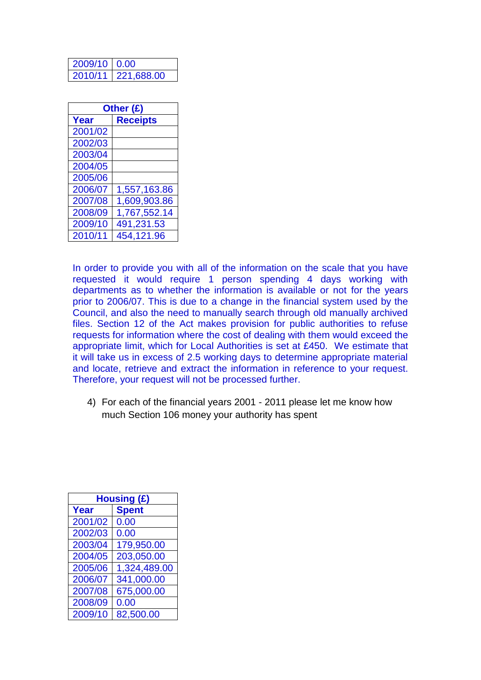| 2009/10 0.00 |                    |
|--------------|--------------------|
|              | 2010/11 221,688.00 |

| Other (£) |                 |
|-----------|-----------------|
| Year      | <b>Receipts</b> |
| 2001/02   |                 |
| 2002/03   |                 |
| 2003/04   |                 |
| 2004/05   |                 |
| 2005/06   |                 |
| 2006/07   | 1,557,163.86    |
| 2007/08   | 1,609,903.86    |
| 2008/09   | 1,767,552.14    |
| 2009/10   | 491,231.53      |
| 2010/11   | 454,121.96      |

In order to provide you with all of the information on the scale that you have requested it would require 1 person spending 4 days working with departments as to whether the information is available or not for the years prior to 2006/07. This is due to a change in the financial system used by the Council, and also the need to manually search through old manually archived files. Section 12 of the Act makes provision for public authorities to refuse requests for information where the cost of dealing with them would exceed the appropriate limit, which for Local Authorities is set at £450. We estimate that it will take us in excess of 2.5 working days to determine appropriate material and locate, retrieve and extract the information in reference to your request. Therefore, your request will not be processed further.

4) For each of the financial years 2001 - 2011 please let me know how much Section 106 money your authority has spent

| <b>Housing (£)</b> |              |
|--------------------|--------------|
| Year               | <b>Spent</b> |
| 2001/02            | 0.00         |
| 2002/03            | 0.00         |
| 2003/04            | 179,950.00   |
| 2004/05            | 203,050.00   |
| 2005/06            | 1,324,489.00 |
| 2006/07            | 341,000.00   |
| 2007/08            | 675,000.00   |
| 2008/09            | 0.00         |
| 2009/10            | 82.500.00    |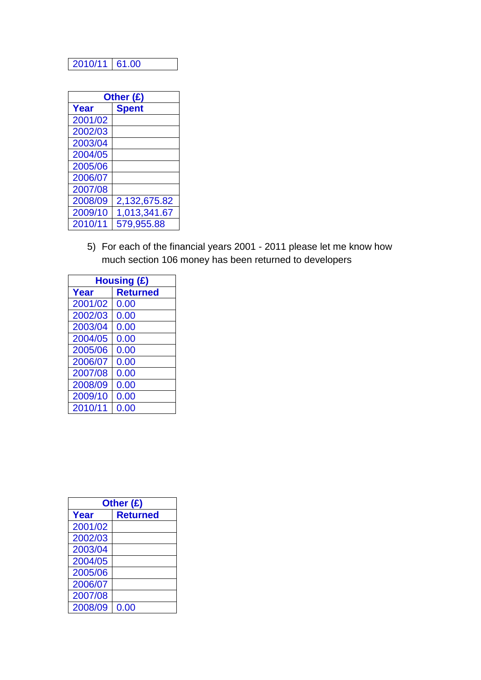## 2010/11 61.00

| Other (£) |              |
|-----------|--------------|
| Year      | <b>Spent</b> |
| 2001/02   |              |
| 2002/03   |              |
| 2003/04   |              |
| 2004/05   |              |
| 2005/06   |              |
| 2006/07   |              |
| 2007/08   |              |
| 2008/09   | 2,132,675.82 |
| 2009/10   | 1,013,341.67 |
| 2010/11   | 579,955.88   |

5) For each of the financial years 2001 - 2011 please let me know how much section 106 money has been returned to developers

| <b>Housing (£)</b> |                 |
|--------------------|-----------------|
| Year               | <b>Returned</b> |
| 2001/02            | 0.00            |
| 2002/03            | 0.00            |
| 2003/04            | 0.00            |
| 2004/05            | 0.00            |
| 2005/06            | 0.00            |
| 2006/07            | 0.00            |
| 2007/08            | 0.00            |
| 2008/09            | 0.00            |
| 2009/10            | 0.00            |
| 2010/11            | 0.00            |

| Other (£) |                 |
|-----------|-----------------|
| Year      | <b>Returned</b> |
| 2001/02   |                 |
| 2002/03   |                 |
| 2003/04   |                 |
| 2004/05   |                 |
| 2005/06   |                 |
| 2006/07   |                 |
| 2007/08   |                 |
| 2008/09   | 0.00            |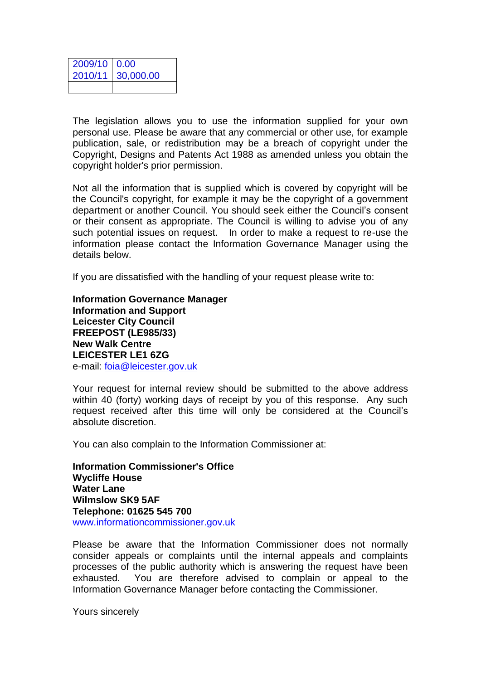| $2009/10$ 0.00 |                   |
|----------------|-------------------|
|                | 2010/11 30,000.00 |
|                |                   |

The legislation allows you to use the information supplied for your own personal use. Please be aware that any commercial or other use, for example publication, sale, or redistribution may be a breach of copyright under the Copyright, Designs and Patents Act 1988 as amended unless you obtain the copyright holder's prior permission.

Not all the information that is supplied which is covered by copyright will be the Council's copyright, for example it may be the copyright of a government department or another Council. You should seek either the Council's consent or their consent as appropriate. The Council is willing to advise you of any such potential issues on request. In order to make a request to re-use the information please contact the Information Governance Manager using the details below.

If you are dissatisfied with the handling of your request please write to:

**Information Governance Manager Information and Support Leicester City Council FREEPOST (LE985/33) New Walk Centre LEICESTER LE1 6ZG**  e-mail: [foia@leicester.gov.uk](mailto:foia@leicester.gov.uk)

Your request for internal review should be submitted to the above address within 40 (forty) working days of receipt by you of this response. Any such request received after this time will only be considered at the Council's absolute discretion.

You can also complain to the Information Commissioner at:

**Information Commissioner's Office Wycliffe House Water Lane Wilmslow SK9 5AF Telephone: 01625 545 700**  www.informationcommissioner.gov.uk

Please be aware that the Information Commissioner does not normally consider appeals or complaints until the internal appeals and complaints processes of the public authority which is answering the request have been exhausted. You are therefore advised to complain or appeal to the Information Governance Manager before contacting the Commissioner.

Yours sincerely